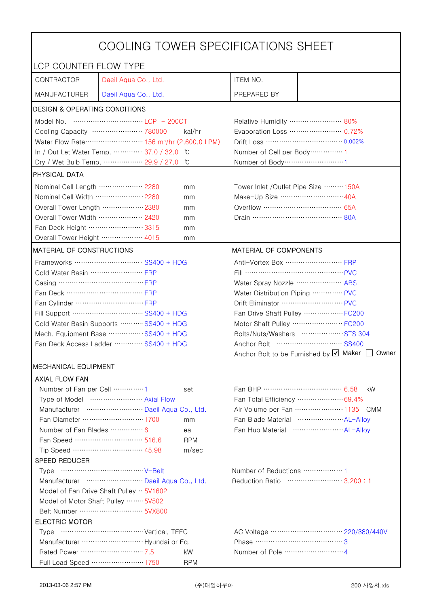| COOLING TOWER SPECIFICATIONS SHEET                                               |                                    |                  |                                                 |                                                    |  |
|----------------------------------------------------------------------------------|------------------------------------|------------------|-------------------------------------------------|----------------------------------------------------|--|
| LCP COUNTER FLOW TYPE                                                            |                                    |                  |                                                 |                                                    |  |
| CONTRACTOR                                                                       | Daeil Aqua Co., Ltd.               |                  | ITEM NO.                                        |                                                    |  |
| <b>MANUFACTURER</b>                                                              | Daeil Aqua Co., Ltd.               |                  | PREPARED BY                                     |                                                    |  |
| <b>DESIGN &amp; OPERATING CONDITIONS</b>                                         |                                    |                  |                                                 |                                                    |  |
|                                                                                  |                                    |                  | Relative Humidity …………………… 80%                  |                                                    |  |
| Cooling Capacity ………………… 780000<br>kal/hr                                        |                                    |                  |                                                 | Evaporation Loss ………………… 0.72%                     |  |
| Water Flow Rate ··························· 156 m <sup>3</sup> /hr (2,600.0 LPM) |                                    |                  |                                                 |                                                    |  |
| In / Out Let Water Temp.  37.0 / 32.0<br>ĬС                                      |                                    |                  | Number of Cell per Body ··············· 1       |                                                    |  |
| Dry / Wet Bulb Temp.  29.9 / 27.0<br>°C                                          |                                    |                  | Number of Body ····························1    |                                                    |  |
| PHYSICAL DATA                                                                    |                                    |                  |                                                 |                                                    |  |
| Nominal Cell Length  2280                                                        |                                    | mm               | Tower Inlet /Outlet Pipe Size ……… 150A          |                                                    |  |
| Nominal Cell Width  2280                                                         |                                    | mm               | Make-Up Size ······························ 40A |                                                    |  |
| Overall Tower Length ……………… 2380                                                 |                                    | mm               | Overflow …………………………… 65A                        |                                                    |  |
| Overall Tower Width  2420                                                        |                                    | mm               |                                                 |                                                    |  |
| Fan Deck Height …………………… 3315                                                    |                                    | mm               |                                                 |                                                    |  |
| Overall Tower Height ……………… 4015                                                 |                                    | mm               |                                                 |                                                    |  |
| MATERIAL OF CONSTRUCTIONS                                                        |                                    |                  | <b>MATERIAL OF COMPONENTS</b>                   |                                                    |  |
|                                                                                  |                                    |                  | Anti-Vortex Box  FRP                            |                                                    |  |
| Cold Water Basin  FRP                                                            |                                    |                  | Fill …………………………………… PVC                         |                                                    |  |
| Casing ………………………………… FRP                                                         |                                    |                  | Water Spray Nozzle ………………… ABS                  |                                                    |  |
|                                                                                  |                                    |                  | Water Distribution Piping  PVC                  |                                                    |  |
|                                                                                  |                                    |                  | Drift Eliminator  PVC                           |                                                    |  |
| Fill Support ………………………… SS400 + HDG                                              |                                    |                  | Fan Drive Shaft Pulley  FC200                   |                                                    |  |
| Cold Water Basin Supports  SS400 + HDG                                           |                                    |                  | Motor Shaft Pulley  FC200                       |                                                    |  |
| Mech. Equipment Base SS400 + HDG                                                 |                                    |                  |                                                 | Bolts/Nuts/Washers  STS 304                        |  |
| Fan Deck Access Ladder ………… SS400 + HDG                                          |                                    |                  |                                                 |                                                    |  |
|                                                                                  |                                    |                  |                                                 | Anchor Bolt to be Furnished by Ø Maker  <br>Owner  |  |
| MECHANICAL EQUIPMENT                                                             |                                    |                  |                                                 |                                                    |  |
| <b>AXIAL FLOW FAN</b>                                                            |                                    |                  |                                                 |                                                    |  |
| Number of Fan per Cell  1                                                        |                                    | set              | Fan BHP ……………………………… 6.58                       | kW.                                                |  |
|                                                                                  | Type of Model  Axial Flow          |                  |                                                 | Fan Total Efficiency  69.4%                        |  |
|                                                                                  | Manufacturer  Daeil Aqua Co., Ltd. |                  |                                                 | Air Volume per Fan  1135 CMM                       |  |
|                                                                                  | Fan Diameter ……………………… 1700        | mm               |                                                 | Fan Blade Material ······················ AL-Allov |  |
| Number of Fan Blades  6                                                          | Fan Speed ………………………… 516.6         | ea<br><b>RPM</b> |                                                 |                                                    |  |
|                                                                                  | Tip Speed ………………………… 45.98         | m/sec            |                                                 |                                                    |  |
| SPEED REDUCER                                                                    |                                    |                  |                                                 |                                                    |  |
|                                                                                  |                                    |                  |                                                 |                                                    |  |
| Manufacturer  Daeil Aqua Co., Ltd.                                               |                                    |                  | Reduction Ratio …………………… 3.200:1                |                                                    |  |
| Model of Fan Drive Shaft Pulley $\cdot \cdot$ 5V1602                             |                                    |                  |                                                 |                                                    |  |
| Model of Motor Shaft Pulley  5V502                                               |                                    |                  |                                                 |                                                    |  |
|                                                                                  |                                    |                  |                                                 |                                                    |  |
| <b>ELECTRIC MOTOR</b>                                                            |                                    |                  |                                                 |                                                    |  |
|                                                                                  |                                    |                  |                                                 |                                                    |  |
|                                                                                  |                                    |                  | Phase ……………………………………3                           |                                                    |  |
| Rated Power ………………………… 7.5                                                       |                                    | kW               |                                                 |                                                    |  |
|                                                                                  | Full Load Speed ………………… 1750       | <b>RPM</b>       |                                                 |                                                    |  |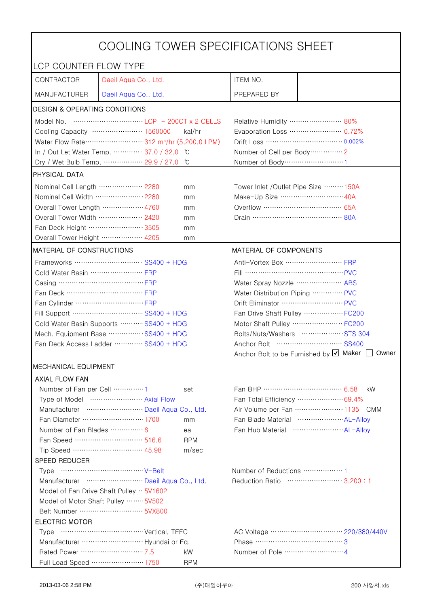| COOLING TOWER SPECIFICATIONS SHEET                                                         |                                                                                                                                                                                                                                                                                                                                      |                                |                                                                                                            |                                                   |  |
|--------------------------------------------------------------------------------------------|--------------------------------------------------------------------------------------------------------------------------------------------------------------------------------------------------------------------------------------------------------------------------------------------------------------------------------------|--------------------------------|------------------------------------------------------------------------------------------------------------|---------------------------------------------------|--|
| LCP COUNTER FLOW TYPE                                                                      |                                                                                                                                                                                                                                                                                                                                      |                                |                                                                                                            |                                                   |  |
| CONTRACTOR                                                                                 | Daeil Aqua Co., Ltd.                                                                                                                                                                                                                                                                                                                 |                                | ITEM NO.                                                                                                   |                                                   |  |
| <b>MANUFACTURER</b>                                                                        | Daeil Aqua Co., Ltd.                                                                                                                                                                                                                                                                                                                 |                                | PREPARED BY                                                                                                |                                                   |  |
| <b>DESIGN &amp; OPERATING CONDITIONS</b>                                                   |                                                                                                                                                                                                                                                                                                                                      |                                |                                                                                                            |                                                   |  |
|                                                                                            | Model No. $\cdots$ $\cdots$ $\cdots$ $\cdots$ $\cdots$ $\cdots$ $\cdots$ $\cdots$ $\cdots$ $\cdots$ $\cdots$ $\cdots$ $\cdots$ $\cdots$ $\cdots$ $\cdots$ $\cdots$ $\cdots$ $\cdots$ $\cdots$ $\cdots$ $\cdots$ $\cdots$ $\cdots$ $\cdots$ $\cdots$ $\cdots$ $\cdots$ $\cdots$ $\cdots$ $\cdots$ $\cdots$ $\cdots$ $\cdots$ $\cdots$ |                                | Relative Humidity …………………… 80%                                                                             |                                                   |  |
|                                                                                            | Cooling Capacity ………………… 1560000                                                                                                                                                                                                                                                                                                     | kal/hr                         |                                                                                                            | Evaporation Loss ………………… 0.72%                    |  |
| Water Flow Rate ···························· 312 m <sup>3</sup> /hr (5,200.0 LPM)          |                                                                                                                                                                                                                                                                                                                                      |                                |                                                                                                            |                                                   |  |
|                                                                                            | In / Out Let Water Temp.  37.0 / 32.0                                                                                                                                                                                                                                                                                                | C                              | Number of Cell per Body ··············· 2                                                                  |                                                   |  |
|                                                                                            | Dry / Wet Bulb Temp.  29.9 / 27.0                                                                                                                                                                                                                                                                                                    | °C                             | Number of Body ······························1                                                             |                                                   |  |
| <b>PHYSICAL DATA</b>                                                                       |                                                                                                                                                                                                                                                                                                                                      |                                |                                                                                                            |                                                   |  |
| Nominal Cell Length  2280                                                                  |                                                                                                                                                                                                                                                                                                                                      | mm                             | Tower Inlet /Outlet Pipe Size ……… 150A                                                                     |                                                   |  |
| Nominal Cell Width  2280                                                                   |                                                                                                                                                                                                                                                                                                                                      | mm                             | Make-Up Size ……………………… 40A                                                                                 |                                                   |  |
| Overall Tower Length ……………… 4760                                                           |                                                                                                                                                                                                                                                                                                                                      | mm                             | Overflow …………………………… 65A                                                                                   |                                                   |  |
| Overall Tower Width  2420                                                                  |                                                                                                                                                                                                                                                                                                                                      | mm                             |                                                                                                            |                                                   |  |
| Fan Deck Height …………………… 3505                                                              |                                                                                                                                                                                                                                                                                                                                      | mm                             |                                                                                                            |                                                   |  |
| Overall Tower Height  4205                                                                 |                                                                                                                                                                                                                                                                                                                                      | mm                             |                                                                                                            |                                                   |  |
| MATERIAL OF CONSTRUCTIONS                                                                  |                                                                                                                                                                                                                                                                                                                                      |                                | MATERIAL OF COMPONENTS                                                                                     |                                                   |  |
|                                                                                            | Frameworks ………………………… SS400 + HDG                                                                                                                                                                                                                                                                                                    |                                | Anti-Vortex Box …………………… FRP                                                                               |                                                   |  |
| Cold Water Basin  FRP                                                                      |                                                                                                                                                                                                                                                                                                                                      |                                | Fill …………………………………… PVC                                                                                    |                                                   |  |
| Casing ………………………………… FRP                                                                   |                                                                                                                                                                                                                                                                                                                                      |                                | Water Spray Nozzle ………………… ABS                                                                             |                                                   |  |
| Fan Deck …………………………… FRP                                                                   |                                                                                                                                                                                                                                                                                                                                      | Water Distribution Piping  PVC |                                                                                                            |                                                   |  |
|                                                                                            |                                                                                                                                                                                                                                                                                                                                      |                                | Drift Eliminator ……………………… PVC                                                                             |                                                   |  |
| Fill Support ………………………… SS400 + HDG                                                        |                                                                                                                                                                                                                                                                                                                                      |                                | Fan Drive Shaft Pulley  FC200                                                                              |                                                   |  |
| Cold Water Basin Supports  SS400 + HDG                                                     |                                                                                                                                                                                                                                                                                                                                      |                                |                                                                                                            | Motor Shaft Pulley  FC200                         |  |
| Mech. Equipment Base  SS400 + HDG                                                          |                                                                                                                                                                                                                                                                                                                                      |                                |                                                                                                            | Bolts/Nuts/Washers  STS 304                       |  |
| Fan Deck Access Ladder  SS400 + HDG                                                        |                                                                                                                                                                                                                                                                                                                                      |                                |                                                                                                            |                                                   |  |
|                                                                                            |                                                                                                                                                                                                                                                                                                                                      |                                |                                                                                                            | Anchor Bolt to be Furnished by Ø Maker  <br>Owner |  |
| <b>MECHANICAL EQUIPMENT</b>                                                                |                                                                                                                                                                                                                                                                                                                                      |                                |                                                                                                            |                                                   |  |
| <b>AXIAL FLOW FAN</b>                                                                      |                                                                                                                                                                                                                                                                                                                                      |                                |                                                                                                            |                                                   |  |
| Number of Fan per Cell  1                                                                  |                                                                                                                                                                                                                                                                                                                                      | set                            | Fan BHP ……………………………… 6.58                                                                                  | kW.                                               |  |
| Type of Model  Axial Flow                                                                  |                                                                                                                                                                                                                                                                                                                                      |                                | Fan Total Efficiency ………………… 69.4%                                                                         |                                                   |  |
| Manufacturer  Daeil Aqua Co., Ltd.                                                         |                                                                                                                                                                                                                                                                                                                                      |                                | Air Volume per Fan  1135 CMM                                                                               |                                                   |  |
| Fan Diameter …………………… 1700<br>mm                                                           |                                                                                                                                                                                                                                                                                                                                      |                                | Fan Blade Material ······················ AL-Allov<br>Fan Hub Material ·························· AL-Alloy |                                                   |  |
| Number of Fan Blades  6                                                                    |                                                                                                                                                                                                                                                                                                                                      | ea                             |                                                                                                            |                                                   |  |
|                                                                                            | Fan Speed ………………………… 516.6                                                                                                                                                                                                                                                                                                           | <b>RPM</b>                     |                                                                                                            |                                                   |  |
|                                                                                            | Tip Speed ………………………… 45.98                                                                                                                                                                                                                                                                                                           | m/sec                          |                                                                                                            |                                                   |  |
| <b>SPEED REDUCER</b>                                                                       |                                                                                                                                                                                                                                                                                                                                      |                                |                                                                                                            |                                                   |  |
|                                                                                            |                                                                                                                                                                                                                                                                                                                                      |                                |                                                                                                            |                                                   |  |
| Manufacturer  Daeil Aqua Co., Ltd.<br>Reduction Ratio …………………… 3.200:1                     |                                                                                                                                                                                                                                                                                                                                      |                                |                                                                                                            |                                                   |  |
| Model of Fan Drive Shaft Pulley $\cdot \cdot$ 5V1602<br>Model of Motor Shaft Pulley  5V502 |                                                                                                                                                                                                                                                                                                                                      |                                |                                                                                                            |                                                   |  |
| Belt Number ……………………… 5VX800                                                               |                                                                                                                                                                                                                                                                                                                                      |                                |                                                                                                            |                                                   |  |
| <b>ELECTRIC MOTOR</b>                                                                      |                                                                                                                                                                                                                                                                                                                                      |                                |                                                                                                            |                                                   |  |
|                                                                                            |                                                                                                                                                                                                                                                                                                                                      |                                |                                                                                                            |                                                   |  |
| Phase ……………………………………3                                                                      |                                                                                                                                                                                                                                                                                                                                      |                                |                                                                                                            |                                                   |  |
| Rated Power ………………………… 7.5                                                                 |                                                                                                                                                                                                                                                                                                                                      | kW                             |                                                                                                            |                                                   |  |
|                                                                                            | Full Load Speed ………………… 1750                                                                                                                                                                                                                                                                                                         | <b>RPM</b>                     |                                                                                                            |                                                   |  |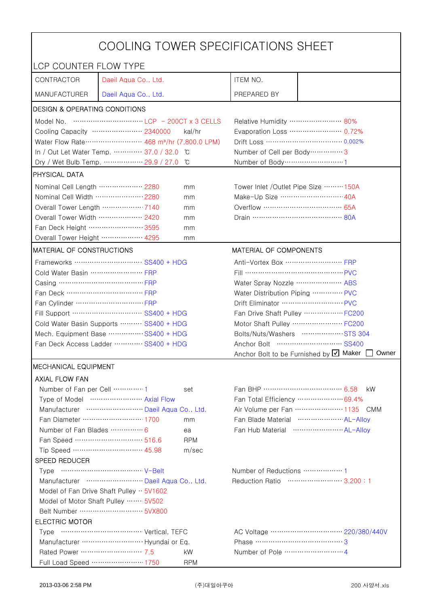| COOLING TOWER SPECIFICATIONS SHEET                              |                                                                                                                                                                                                                                                                                                                                      |                                                             |                                                    |                                                      |  |
|-----------------------------------------------------------------|--------------------------------------------------------------------------------------------------------------------------------------------------------------------------------------------------------------------------------------------------------------------------------------------------------------------------------------|-------------------------------------------------------------|----------------------------------------------------|------------------------------------------------------|--|
| LCP COUNTER FLOW TYPE                                           |                                                                                                                                                                                                                                                                                                                                      |                                                             |                                                    |                                                      |  |
| CONTRACTOR                                                      | Daeil Aqua Co., Ltd.                                                                                                                                                                                                                                                                                                                 |                                                             | ITEM NO.                                           |                                                      |  |
| <b>MANUFACTURER</b>                                             | Daeil Aqua Co., Ltd.                                                                                                                                                                                                                                                                                                                 |                                                             | PREPARED BY                                        |                                                      |  |
| <b>DESIGN &amp; OPERATING CONDITIONS</b>                        |                                                                                                                                                                                                                                                                                                                                      |                                                             |                                                    |                                                      |  |
|                                                                 | Model No. $\cdots$ $\cdots$ $\cdots$ $\cdots$ $\cdots$ $\cdots$ $\cdots$ $\cdots$ $\cdots$ $\cdots$ $\cdots$ $\cdots$ $\cdots$ $\cdots$ $\cdots$ $\cdots$ $\cdots$ $\cdots$ $\cdots$ $\cdots$ $\cdots$ $\cdots$ $\cdots$ $\cdots$ $\cdots$ $\cdots$ $\cdots$ $\cdots$ $\cdots$ $\cdots$ $\cdots$ $\cdots$ $\cdots$ $\cdots$ $\cdots$ |                                                             | Relative Humidity …………………… 80%                     |                                                      |  |
|                                                                 | Cooling Capacity ………………… 2340000                                                                                                                                                                                                                                                                                                     | kal/hr                                                      | Evaporation Loss ………………… 0.72%                     |                                                      |  |
|                                                                 | Water Flow Rate ························· 468 m <sup>3</sup> /hr (7,800.0 LPM)                                                                                                                                                                                                                                                       |                                                             |                                                    |                                                      |  |
|                                                                 | In / Out Let Water Temp.  37.0 / 32.0                                                                                                                                                                                                                                                                                                | C°                                                          | Number of Cell per Body ················ 3         |                                                      |  |
| Dry / Wet Bulb Temp.  29.9 / 27.0<br>°C                         |                                                                                                                                                                                                                                                                                                                                      |                                                             | Number of Body ··································1 |                                                      |  |
| <b>PHYSICAL DATA</b>                                            |                                                                                                                                                                                                                                                                                                                                      |                                                             |                                                    |                                                      |  |
| Nominal Cell Length  2280                                       |                                                                                                                                                                                                                                                                                                                                      | mm                                                          | Tower Inlet /Outlet Pipe Size ……… 150A             |                                                      |  |
| Nominal Cell Width  2280                                        |                                                                                                                                                                                                                                                                                                                                      | mm                                                          | Make-Up Size ······························ 40A    |                                                      |  |
| Overall Tower Length 7140                                       |                                                                                                                                                                                                                                                                                                                                      | mm                                                          | Overflow …………………………… 65A                           |                                                      |  |
| Overall Tower Width  2420                                       |                                                                                                                                                                                                                                                                                                                                      | mm                                                          |                                                    |                                                      |  |
| Fan Deck Height …………………… 3595                                   |                                                                                                                                                                                                                                                                                                                                      | mm                                                          |                                                    |                                                      |  |
| Overall Tower Height  4295                                      |                                                                                                                                                                                                                                                                                                                                      | mm                                                          |                                                    |                                                      |  |
| <b>MATERIAL OF CONSTRUCTIONS</b>                                |                                                                                                                                                                                                                                                                                                                                      |                                                             | MATERIAL OF COMPONENTS                             |                                                      |  |
|                                                                 | Frameworks  SS400 + HDG                                                                                                                                                                                                                                                                                                              |                                                             | Anti-Vortex Box …………………… FRP                       |                                                      |  |
| Cold Water Basin  FRP                                           |                                                                                                                                                                                                                                                                                                                                      |                                                             | Fill …………………………………… PVC                            |                                                      |  |
| Casing …………………………………… FRP                                       |                                                                                                                                                                                                                                                                                                                                      |                                                             | Water Spray Nozzle ………………… ABS                     |                                                      |  |
| Fan Deck …………………………… FRP                                        |                                                                                                                                                                                                                                                                                                                                      | Water Distribution Piping  PVC                              |                                                    |                                                      |  |
|                                                                 |                                                                                                                                                                                                                                                                                                                                      |                                                             |                                                    |                                                      |  |
| Fill Support ………………………… SS400 + HDG                             |                                                                                                                                                                                                                                                                                                                                      | Fan Drive Shaft Pulley  FC200                               |                                                    |                                                      |  |
| Cold Water Basin Supports  SS400 + HDG                          |                                                                                                                                                                                                                                                                                                                                      |                                                             |                                                    | Motor Shaft Pulley  FC200                            |  |
| Mech. Equipment Base SS400 + HDG                                |                                                                                                                                                                                                                                                                                                                                      |                                                             |                                                    | Bolts/Nuts/Washers  STS 304                          |  |
| Fan Deck Access Ladder ………… SS400 + HDG                         |                                                                                                                                                                                                                                                                                                                                      | Owner                                                       |                                                    |                                                      |  |
| Anchor Bolt to be Furnished by Ø Maker [                        |                                                                                                                                                                                                                                                                                                                                      |                                                             |                                                    |                                                      |  |
| <b>IMECHANICAL EQUIPMENT</b>                                    |                                                                                                                                                                                                                                                                                                                                      |                                                             |                                                    |                                                      |  |
| <b>AXIAL FLOW FAN</b>                                           |                                                                                                                                                                                                                                                                                                                                      |                                                             |                                                    |                                                      |  |
| Number of Fan per Cell  1                                       |                                                                                                                                                                                                                                                                                                                                      | set                                                         | Fan BHP ……………………………… 6.58                          | kW.                                                  |  |
| Type of Model  Axial Flow<br>Manufacturer  Daeil Aqua Co., Ltd. |                                                                                                                                                                                                                                                                                                                                      | Fan Total Efficiency  69.4%<br>Air Volume per Fan  1135 CMM |                                                    |                                                      |  |
|                                                                 | Fan Diameter ……………………… 1700                                                                                                                                                                                                                                                                                                          |                                                             |                                                    | Fan Blade Material ······················· AL-Allov  |  |
| Number of Fan Blades  6                                         |                                                                                                                                                                                                                                                                                                                                      | mm                                                          |                                                    | Fan Hub Material ·························· AL-Alloy |  |
|                                                                 | Fan Speed ………………………… 516.6                                                                                                                                                                                                                                                                                                           | ea<br><b>RPM</b>                                            |                                                    |                                                      |  |
|                                                                 | Tip Speed ………………………… 45.98                                                                                                                                                                                                                                                                                                           | m/sec                                                       |                                                    |                                                      |  |
| SPEED REDUCER                                                   |                                                                                                                                                                                                                                                                                                                                      |                                                             |                                                    |                                                      |  |
|                                                                 |                                                                                                                                                                                                                                                                                                                                      |                                                             | Number of Reductions  1                            |                                                      |  |
| Manufacturer  Daeil Aqua Co., Ltd.                              |                                                                                                                                                                                                                                                                                                                                      |                                                             | Reduction Ratio …………………… 3.200:1                   |                                                      |  |
| Model of Fan Drive Shaft Pulley $\cdot \cdot$ 5V1602            |                                                                                                                                                                                                                                                                                                                                      |                                                             |                                                    |                                                      |  |
| Model of Motor Shaft Pulley  5V502                              |                                                                                                                                                                                                                                                                                                                                      |                                                             |                                                    |                                                      |  |
|                                                                 |                                                                                                                                                                                                                                                                                                                                      |                                                             |                                                    |                                                      |  |
| <b>ELECTRIC MOTOR</b>                                           |                                                                                                                                                                                                                                                                                                                                      |                                                             |                                                    |                                                      |  |
|                                                                 |                                                                                                                                                                                                                                                                                                                                      |                                                             |                                                    |                                                      |  |
| Phase ……………………………………3                                           |                                                                                                                                                                                                                                                                                                                                      |                                                             |                                                    |                                                      |  |
| Rated Power ………………………… 7.5                                      |                                                                                                                                                                                                                                                                                                                                      | kW                                                          |                                                    |                                                      |  |
|                                                                 | Full Load Speed ………………… 1750                                                                                                                                                                                                                                                                                                         | <b>RPM</b>                                                  |                                                    |                                                      |  |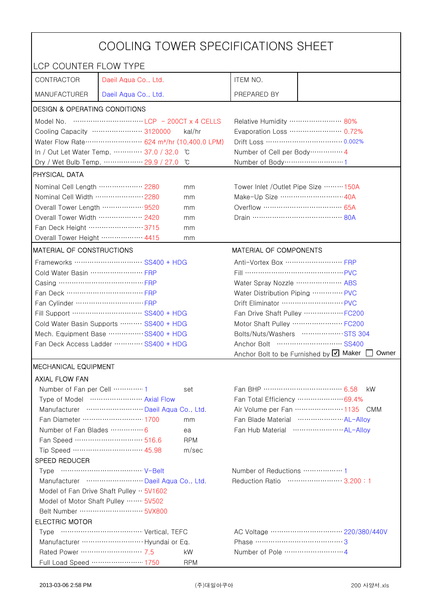| COOLING TOWER SPECIFICATIONS SHEET                                     |                                                                                 |                                |                                                     |                                                      |  |
|------------------------------------------------------------------------|---------------------------------------------------------------------------------|--------------------------------|-----------------------------------------------------|------------------------------------------------------|--|
| LCP COUNTER FLOW TYPE                                                  |                                                                                 |                                |                                                     |                                                      |  |
| CONTRACTOR                                                             | Daeil Aqua Co., Ltd.                                                            |                                | ITEM NO.                                            |                                                      |  |
| <b>MANUFACTURER</b>                                                    | Daeil Aqua Co., Ltd.                                                            |                                | PREPARED BY                                         |                                                      |  |
| DESIGN & OPERATING CONDITIONS                                          |                                                                                 |                                |                                                     |                                                      |  |
|                                                                        |                                                                                 |                                | Relative Humidity …………………… 80%                      |                                                      |  |
|                                                                        | Cooling Capacity ………………… 3120000                                                | kal/hr                         |                                                     | Evaporation Loss ………………… 0.72%                       |  |
|                                                                        | Water Flow Rate ························· 624 m <sup>3</sup> /hr (10,400.0 LPM) |                                |                                                     | Drift Loss …………………………… 0.002%                        |  |
|                                                                        | In / Out Let Water Temp.  37.0 / 32.0                                           | ĬС                             | Number of Cell per Body ··············· 4           |                                                      |  |
|                                                                        | Dry / Wet Bulb Temp.  29.9 / 27.0                                               | °C                             | Number of Body ······························1      |                                                      |  |
| <b>PHYSICAL DATA</b>                                                   |                                                                                 |                                |                                                     |                                                      |  |
| Nominal Cell Length ……………… 2280<br>mm                                  |                                                                                 |                                | Tower Inlet / Outlet Pipe Size  150A                |                                                      |  |
| Nominal Cell Width  2280                                               |                                                                                 | mm                             | Make-Up Size ……………………… 40A                          |                                                      |  |
| Overall Tower Length  9520                                             |                                                                                 | mm                             |                                                     |                                                      |  |
| Overall Tower Width ……………… 2420                                        |                                                                                 | mm                             |                                                     |                                                      |  |
| Fan Deck Height …………………… 3715                                          |                                                                                 | mm                             |                                                     |                                                      |  |
| Overall Tower Height ……………… 4415                                       |                                                                                 | mm                             |                                                     |                                                      |  |
| <b>MATERIAL OF CONSTRUCTIONS</b>                                       |                                                                                 |                                | MATERIAL OF COMPONENTS                              |                                                      |  |
|                                                                        | Frameworks ……………………… SS400 + HDG                                                |                                | Anti-Vortex Box ······························· FRP |                                                      |  |
| Cold Water Basin  FRP                                                  |                                                                                 |                                | Fill …………………………………… PVC                             |                                                      |  |
| Casing ………………………………… FRP                                               |                                                                                 |                                | Water Spray Nozzle ………………… ABS                      |                                                      |  |
| Fan Deck …………………………… FRP                                               |                                                                                 | Water Distribution Piping  PVC |                                                     |                                                      |  |
|                                                                        |                                                                                 | Drift Eliminator ……………………… PVC |                                                     |                                                      |  |
| Fill Support ………………………… SS400 + HDG                                    |                                                                                 | Fan Drive Shaft Pulley  FC200  |                                                     |                                                      |  |
| Cold Water Basin Supports  SS400 + HDG                                 |                                                                                 |                                | Motor Shaft Pulley  FC200                           |                                                      |  |
| Mech. Equipment Base SS400 + HDG                                       |                                                                                 | Bolts/Nuts/Washers  STS 304    |                                                     |                                                      |  |
| Fan Deck Access Ladder  SS400 + HDG                                    |                                                                                 |                                |                                                     |                                                      |  |
|                                                                        |                                                                                 |                                |                                                     | Anchor Bolt to be Furnished by Ø Maker<br>Owner      |  |
| <b>MECHANICAL EQUIPMENT</b>                                            |                                                                                 |                                |                                                     |                                                      |  |
| <b>AXIAL FLOW FAN</b>                                                  |                                                                                 |                                |                                                     |                                                      |  |
| Number of Fan per Cell 1                                               |                                                                                 | set                            | Fan BHP ……………………………… 6.58                           | kW.                                                  |  |
|                                                                        | Type of Model  Axial Flow                                                       |                                |                                                     | Fan Total Efficiency  69.4%                          |  |
|                                                                        | Manufacturer  Daeil Aqua Co., Ltd.                                              |                                |                                                     | Air Volume per Fan  1135 CMM                         |  |
|                                                                        | Fan Diameter ……………………… 1700                                                     | mm                             |                                                     | Fan Blade Material  AL-Allov                         |  |
| Number of Fan Blades  6                                                |                                                                                 | ea                             |                                                     | Fan Hub Material ·························· AL-Allov |  |
|                                                                        | Fan Speed ………………………… 516.6                                                      | <b>RPM</b>                     |                                                     |                                                      |  |
|                                                                        | Tip Speed ………………………… 45.98                                                      | m/sec                          |                                                     |                                                      |  |
| SPEED REDUCER                                                          |                                                                                 |                                |                                                     |                                                      |  |
|                                                                        |                                                                                 |                                |                                                     |                                                      |  |
| Reduction Ratio …………………… 3.200:1<br>Manufacturer  Daeil Aqua Co., Ltd. |                                                                                 |                                |                                                     |                                                      |  |
| Model of Fan Drive Shaft Pulley $\cdot \cdot$ 5V1602                   |                                                                                 |                                |                                                     |                                                      |  |
| Model of Motor Shaft Pulley  5V502                                     |                                                                                 |                                |                                                     |                                                      |  |
| <b>ELECTRIC MOTOR</b>                                                  |                                                                                 |                                |                                                     |                                                      |  |
|                                                                        |                                                                                 |                                |                                                     |                                                      |  |
| Manufacturer  Hyundai or Eq.<br>Phase ……………………………………3                  |                                                                                 |                                |                                                     |                                                      |  |
| Rated Power ………………………… 7.5                                             |                                                                                 | kW                             |                                                     |                                                      |  |
|                                                                        | Full Load Speed ………………… 1750                                                    | <b>RPM</b>                     |                                                     |                                                      |  |